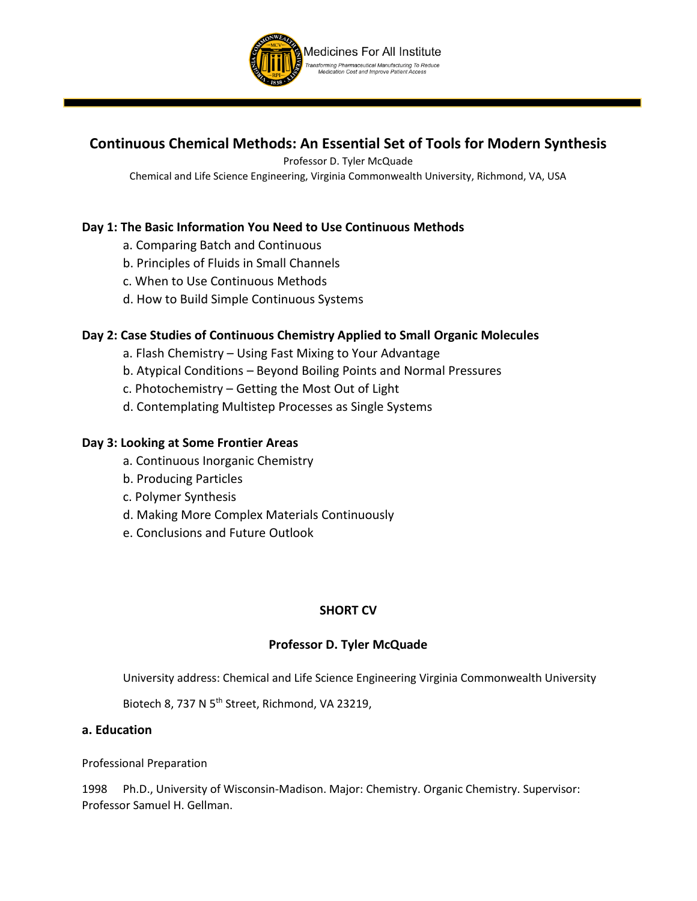

# **Continuous Chemical Methods: An Essential Set of Tools for Modern Synthesis**

Professor D. Tyler McQuade

Chemical and Life Science Engineering, Virginia Commonwealth University, Richmond, VA, USA

# **Day 1: The Basic Information You Need to Use Continuous Methods**

- a. Comparing Batch and Continuous
- b. Principles of Fluids in Small Channels
- c. When to Use Continuous Methods
- d. How to Build Simple Continuous Systems

# **Day 2: Case Studies of Continuous Chemistry Applied to Small Organic Molecules**

- a. Flash Chemistry Using Fast Mixing to Your Advantage
- b. Atypical Conditions Beyond Boiling Points and Normal Pressures
- c. Photochemistry Getting the Most Out of Light
- d. Contemplating Multistep Processes as Single Systems

## **Day 3: Looking at Some Frontier Areas**

- a. Continuous Inorganic Chemistry
- b. Producing Particles
- c. Polymer Synthesis
- d. Making More Complex Materials Continuously
- e. Conclusions and Future Outlook

## **SHORT CV**

## **Professor D. Tyler McQuade**

University address: Chemical and Life Science Engineering Virginia Commonwealth University

Biotech 8, 737 N 5<sup>th</sup> Street, Richmond, VA 23219,

#### **a. Education**

Professional Preparation

1998 Ph.D., University of Wisconsin-Madison. Major: Chemistry. Organic Chemistry. Supervisor: Professor Samuel H. Gellman.